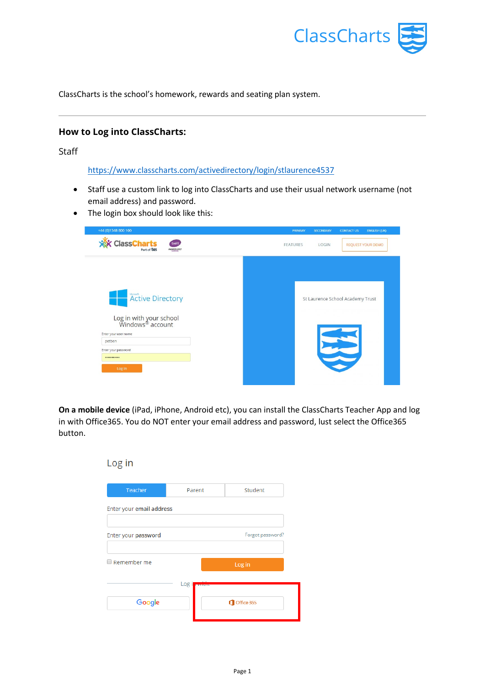

ClassCharts is the school's homework, rewards and seating plan system.

# **How to Log into ClassCharts:**

Staff

<https://www.classcharts.com/activedirectory/login/stlaurence4537>

- Staff use a custom link to log into ClassCharts and use their usual network username (not email address) and password.
- The login box should look like this:

| +44 (0)1348 800 100                                                                                                                                | <b>PRIMARY</b><br><b>CONTACT US</b><br><b>ENGLISH (UK)</b><br><b>SECONDARY</b> |
|----------------------------------------------------------------------------------------------------------------------------------------------------|--------------------------------------------------------------------------------|
| ClassCharts<br>bett<br>AWARDS 2017                                                                                                                 | <b>FEATURES</b><br>LOGIN<br><b>REQUEST YOUR DEMO</b>                           |
| Active Directory<br>Log in with your school<br>Windows <sup>®</sup> account<br>Enter your user name<br>petben<br>Enter your password<br><br>Log In | St Laurence School Academy Trust                                               |

**On a mobile device** (iPad, iPhone, Android etc), you can install the ClassCharts Teacher App and log in with Office365. You do NOT enter your email address and password, lust select the Office365 button.

| Log in                   |        |                  |
|--------------------------|--------|------------------|
| <b>Teacher</b>           | Parent | Student          |
| Enter your email address |        |                  |
| Enter your password      |        | Forgot password? |
| Remember me              |        | Log in           |
| Google                   | Log i  | Office 365       |